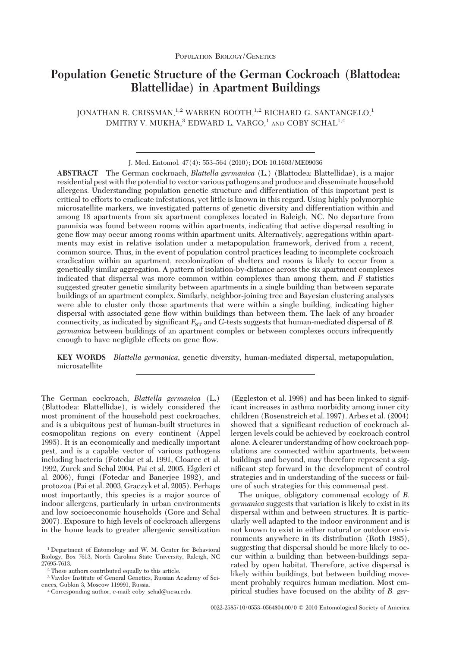# **Population Genetic Structure of the German Cockroach (Blattodea: Blattellidae) in Apartment Buildings**

JONATHAN R. CRISSMAN,<sup>1,2</sup> WARREN BOOTH,<sup>1,2</sup> RICHARD G. SANTANGELO,<sup>1</sup> DMITRY V. MUKHA,<sup>3</sup> EDWARD L. VARGO,<sup>1</sup> AND COBY SCHAL<sup>1,4</sup>

**ABSTRACT** The German cockroach, *Blattella germanica* (L.) (Blattodea: Blattellidae), is a major residential pest with the potential to vector various pathogens and produce and disseminate household allergens. Understanding population genetic structure and differentiation of this important pest is critical to efforts to eradicate infestations, yet little is known in this regard. Using highly polymorphic microsatellite markers, we investigated patterns of genetic diversity and differentiation within and among 18 apartments from six apartment complexes located in Raleigh, NC. No departure from panmixia was found between rooms within apartments, indicating that active dispersal resulting in gene ßow may occur among rooms within apartment units. Alternatively, aggregations within apartments may exist in relative isolation under a metapopulation framework, derived from a recent, common source. Thus, in the event of population control practices leading to incomplete cockroach eradication within an apartment, recolonization of shelters and rooms is likely to occur from a genetically similar aggregation. A pattern of isolation-by-distance across the six apartment complexes indicated that dispersal was more common within complexes than among them, and *F* statistics suggested greater genetic similarity between apartments in a single building than between separate buildings of an apartment complex. Similarly, neighbor-joining tree and Bayesian clustering analyses were able to cluster only those apartments that were within a single building, indicating higher dispersal with associated gene ßow within buildings than between them. The lack of any broader connectivity, as indicated by significant  $F_{ST}$  and *G*-tests suggests that human-mediated dispersal of *B*. *germanica* between buildings of an apartment complex or between complexes occurs infrequently enough to have negligible effects on gene flow.

**KEY WORDS** *Blattella germanica*, genetic diversity, human-mediated dispersal, metapopulation, microsatellite

The German cockroach, *Blattella germanica* (L.) (Blattodea: Blattellidae), is widely considered the most prominent of the household pest cockroaches, and is a ubiquitous pest of human-built structures in cosmopolitan regions on every continent (Appel 1995). It is an economically and medically important pest, and is a capable vector of various pathogens including bacteria (Fotedar et al. 1991, Cloarec et al. 1992, Zurek and Schal 2004, Pai et al. 2005, Elgderi et al. 2006), fungi (Fotedar and Banerjee 1992), and protozoa (Pai et al. 2003, Graczyk et al. 2005). Perhaps most importantly, this species is a major source of indoor allergens, particularly in urban environments and low socioeconomic households (Gore and Schal 2007). Exposure to high levels of cockroach allergens in the home leads to greater allergenic sensitization

(Eggleston et al. 1998) and has been linked to significant increases in asthma morbidity among inner city children (Rosenstreich et al. 1997). Arbes et al. (2004) showed that a significant reduction of cockroach allergen levels could be achieved by cockroach control alone. A clearer understanding of how cockroach populations are connected within apartments, between buildings and beyond, may therefore represent a significant step forward in the development of control strategies and in understanding of the success or failure of such strategies for this commensal pest.

The unique, obligatory commensal ecology of *B. germanica* suggests that variation is likely to exist in its dispersal within and between structures. It is particularly well adapted to the indoor environment and is not known to exist in either natural or outdoor environments anywhere in its distribution (Roth 1985), suggesting that dispersal should be more likely to occur within a building than between-buildings separated by open habitat. Therefore, active dispersal is likely within buildings, but between building movement probably requires human mediation. Most empirical studies have focused on the ability of *B. ger-*

J. Med. Entomol. 47(4): 553-564 (2010); DOI: 10.1603/ME09036

<sup>1</sup> Department of Entomology and W. M. Center for Behavioral Biology, Box 7613, North Carolina State University, Raleigh, NC 27695-7613.

<sup>2</sup> These authors contributed equally to this article.

<sup>3</sup> Vavilov Institute of General Genetics, Russian Academy of Sciences, Gubkin 3, Moscow 119991, Russia.

 $^4$  Corresponding author, e-mail:  ${\rm coby\_schal@ncsu.edu.}$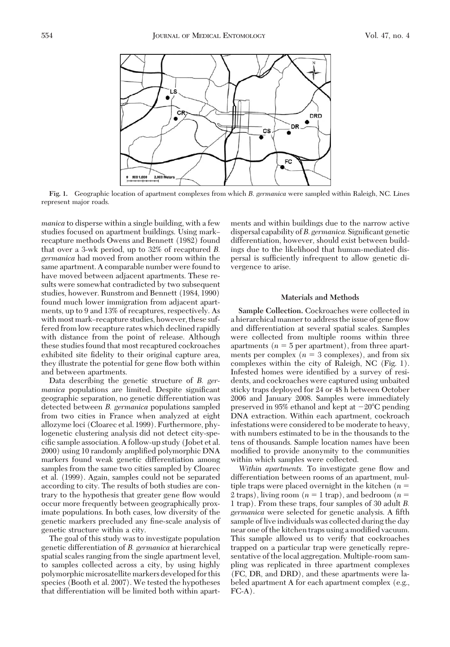

**Fig. 1.** Geographic location of apartment complexes from which *B*. *germanica* were sampled within Raleigh, NC. Lines represent major roads.

*manica* to disperse within a single building, with a few studies focused on apartment buildings. Using mark– recapture methods Owens and Bennett (1982) found that over a 3-wk period, up to 32% of recaptured *B. germanica* had moved from another room within the same apartment. A comparable number were found to have moved between adjacent apartments. These results were somewhat contradicted by two subsequent studies, however. Runstrom and Bennett (1984, 1990) found much lower immigration from adjacent apartments, up to 9 and 13% of recaptures, respectively. As with most mark-recapture studies, however, these suffered from low recapture rates which declined rapidly with distance from the point of release. Although these studies found that most recaptured cockroaches exhibited site fidelity to their original capture area, they illustrate the potential for gene ßow both within and between apartments.

Data describing the genetic structure of *B. germanica* populations are limited. Despite significant geographic separation, no genetic differentiation was detected between *B. germanica* populations sampled from two cities in France when analyzed at eight allozyme loci (Cloarec et al. 1999). Furthermore, phylogenetic clustering analysis did not detect city-specific sample association. A follow-up study (Jobet et al. 2000) using 10 randomly amplified polymorphic DNA markers found weak genetic differentiation among samples from the same two cities sampled by Cloarec et al. (1999). Again, samples could not be separated according to city. The results of both studies are contrary to the hypothesis that greater gene ßow would occur more frequently between geographically proximate populations. In both cases, low diversity of the genetic markers precluded any fine-scale analysis of genetic structure within a city.

The goal of this study was to investigate population genetic differentiation of *B. germanica* at hierarchical spatial scales ranging from the single apartment level, to samples collected across a city, by using highly polymorphic microsatellite markers developed for this species (Booth et al. 2007). We tested the hypotheses that differentiation will be limited both within apartments and within buildings due to the narrow active dispersal capability of *B. germanica*. Significant genetic differentiation, however, should exist between buildings due to the likelihood that human-mediated dispersal is sufficiently infrequent to allow genetic divergence to arise.

# **Materials and Methods**

**Sample Collection.** Cockroaches were collected in a hierarchical manner to address the issue of gene ßow and differentiation at several spatial scales. Samples were collected from multiple rooms within three apartments  $(n = 5$  per apartment), from three apartments per complex  $(n = 3$  complexes), and from six complexes within the city of Raleigh, NC (Fig. 1). Infested homes were identified by a survey of residents, and cockroaches were captured using unbaited sticky traps deployed for 24 or 48 h between October 2006 and January 2008. Samples were immediately preserved in 95% ethanol and kept at  $-20^{\circ}$ C pending DNA extraction. Within each apartment, cockroach infestations were considered to be moderate to heavy, with numbers estimated to be in the thousands to the tens of thousands. Sample location names have been modified to provide anonymity to the communities within which samples were collected.

*Within apartments.* To investigate gene ßow and differentiation between rooms of an apartment, multiple traps were placed overnight in the kitchen  $(n =$ 2 traps), living room  $(n = 1$  trap), and bedroom  $(n = 1$ 1 trap). From these traps, four samples of 30 adult *B.* germanica were selected for genetic analysis. A fifth sample of live individuals was collected during the day near one of the kitchen traps using a modified vacuum. This sample allowed us to verify that cockroaches trapped on a particular trap were genetically representative of the local aggregation. Multiple-room sampling was replicated in three apartment complexes (FC, DR, and DRD), and these apartments were labeled apartment A for each apartment complex (e.g.,  $FC-A$ ).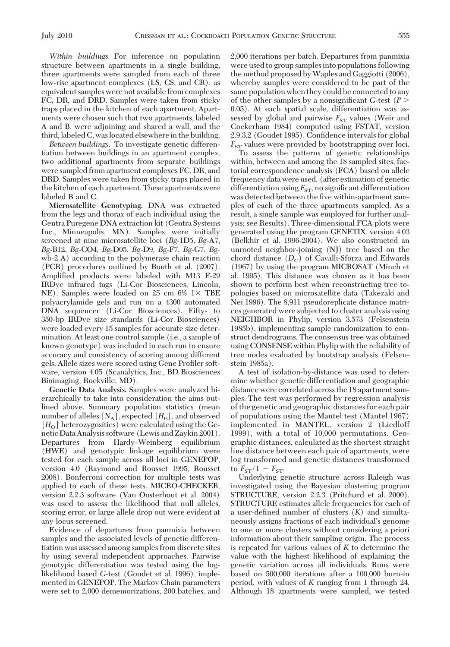*Within buildings.* For inference on population structure between apartments in a single building, three apartments were sampled from each of three low-rise apartment complexes (LS, CS, and CR), as equivalent samples were not available from complexes FC, DR, and DRD. Samples were taken from sticky traps placed in the kitchen of each apartment. Apartments were chosen such that two apartments, labeled A and B, were adjoining and shared a wall, and the third, labeled C, was located elsewhere in the building.

*Between buildings.* To investigate genetic differentiation between buildings in an apartment complex, two additional apartments from separate buildings were sampled from apartment complexes FC, DR, and DRD. Samples were taken from sticky traps placed in the kitchen of each apartment. These apartments were labeled B and C.

**Microsatellite Genotyping.** DNA was extracted from the legs and thorax of each individual using the Gentra Puregene DNA extraction kit (Gentra Systems Inc., Minneapolis, MN). Samples were initially screened at nine microsatellite loci (*Bg*-1D5, *Bg*-A7, *Bg*-B12, *Bg*-CO4, *Bg*-D05, *Bg*-D9, *Bg*-F7, *Bg*-G7, *Bg*wb-2 A) according to the polymerase chain reaction (PCR) procedures outlined by Booth et al. (2007). Amplified products were labeled with M13 F-29 IRDye infrared tags (Li-Cor Biosciences, Lincoln, NE). Samples were loaded on 25 cm  $6\%$  1 $\times$  TBE polyacrylamide gels and run on a 4300 automated DNA sequencer (Li-Cor Biosciences). Fifty- to 350-bp IRDye size standards (Li-Cor Biosciences) were loaded every 15 samples for accurate size determination. At least one control sample (i.e., a sample of known genotype) was included in each run to ensure accuracy and consistency of scoring among different gels. Allele sizes were scored using Gene Profiler software, version 4.05 (Scanalytics, Inc., BD Biosciences Bioimaging, Rockville, MD).

**Genetic Data Analysis.** Samples were analyzed hierarchically to take into consideration the aims outlined above. Summary population statistics (mean number of alleles  $[N_A]$ , expected  $[H_E]$ , and observed  $[H<sub>O</sub>]$  heterozygosities) were calculated using the Genetic Data Analysis software (Lewis and Zaykin 2001). Departures from Hardy–Weinberg equilibrium (HWE) and genotypic linkage equilibrium were tested for each sample across all loci in GENEPOP, version 4.0 (Raymond and Rousset 1995, Rousset 2008). Bonferroni correction for multiple tests was applied to each of these tests. MICRO-CHECKER, version 2.2.3 software (Van Oosterhout et al. 2004) was used to assess the likelihood that null alleles, scoring error, or large allele drop out were evident at any locus screened.

Evidence of departures from panmixia between samples and the associated levels of genetic differentiation was assessed among samples from discrete sites by using several independent approaches. Pairwise genotypic differentiation was tested using the loglikelihood based *G*-test (Goudet et al. 1996), implemented in GENEPOP. The Markov Chain parameters were set to 2,000 dememorizations, 200 batches, and 2,000 iterations per batch. Departures from panmixia were used to group samples into populations following the method proposed byWaples and Gaggiotti (2006), whereby samples were considered to be part of the same population when they could be connected to any of the other samples by a nonsignificant  $G$ -test ( $P$  > 0.05). At each spatial scale, differentiation was assessed by global and pairwise  $F_{ST}$  values (Weir and Cockerham 1984) computed using FSTAT, version 2.9.3.2 (Goudet 1995). Confidence intervals for global  $F_{ST}$  values were provided by bootstrapping over loci.

To assess the patterns of genetic relationships within, between and among the 18 sampled sites, factorial correspondence analysis (FCA) based on allele frequency data were used. (after estimation of genetic differentiation using  $F_{ST}$ , no significant differentiation was detected between the five within-apartment samples of each of the three apartments sampled. As a result, a single sample was employed for further analysis; see Results). Three-dimensional FCA plots were generated using the program GENETIX, version 4.03 (Belkhir et al. 1996-2004). We also constructed an unrooted neighbor-joining (NJ) tree based on the chord distance  $(D_C)$  of Cavalli-Sforza and Edwards (1967) by using the program MICROSAT (Minch et al. 1995). This distance was chosen as it has been shown to perform best when reconstructing tree topologies based on microsatellite data (Takezaki and Nei 1996). The 8,911 pseudoreplicate distance matrices generated were subjected to cluster analysis using NEIGHBOR in Phylip, version 3.573 (Felsenstein 1985b), implementing sample randomization to construct dendrograms. The consensus tree was obtained using CONSENSE within Phylip with the reliability of tree nodes evaluated by bootstrap analysis (Felsenstein 1985a).

A test of isolation-by-distance was used to determine whether genetic differentiation and geographic distance were correlated across the 18 apartment samples. The test was performed by regression analysis of the genetic and geographic distances for each pair of populations using the Mantel test (Mantel 1967) implemented in MANTEL, version 2 (Liedloff 1999), with a total of 10,000 permutations. Geographic distances, calculated as the shortest straight line distance between each pair of apartments, were log transformed and genetic distances transformed to  $F_{ST}/1 - F_{ST}$ .

Underlying genetic structure across Raleigh was investigated using the Bayesian clustering program STRUCTURE, version 2.2.3 (Pritchard et al. 2000). STRUCTURE estimates allele frequencies for each of a user-defined number of clusters  $(K)$  and simultaneously assigns fractions of each individual's genome to one or more clusters without considering a priori information about their sampling origin. The process is repeated for various values of *K* to determine the value with the highest likelihood of explaining the genetic variation across all individuals. Runs were based on 500,000 iterations after a 100,000 burn-in period, with values of *K* ranging from 1 through 24. Although 18 apartments were sampled, we tested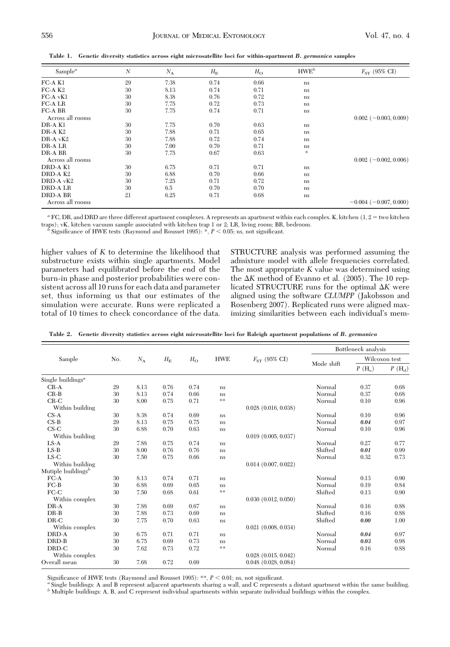| Sample <sup><math>a</math></sup> | N  | $N_A$ | $H_{\rm E}$ | $H_{\rm O}$ | HWE <sup>b</sup> | $F_{ST}$ (95% CI)            |
|----------------------------------|----|-------|-------------|-------------|------------------|------------------------------|
| FC-A K1                          | 29 | 7.38  | 0.74        | 0.66        | ns               |                              |
| $FC-A K2$                        | 30 | 8.13  | 0.74        | 0.71        | ns               |                              |
| $FC-A$ v $K1$                    | 30 | 8.38  | 0.76        | 0.72        | ns               |                              |
| <b>FC-ALR</b>                    | 30 | 7.75  | 0.72        | 0.73        | ns               |                              |
| <b>FC-A BR</b>                   | 30 | 7.75  | 0.74        | 0.71        | ns               |                              |
| Across all rooms                 |    |       |             |             |                  | $0.002$ (-0.003, 0.009)      |
| DR-A K1                          | 30 | 7.75  | 0.70        | 0.63        | ns               |                              |
| DR-A K <sub>2</sub>              | 30 | 7.88  | 0.71        | 0.65        | ns               |                              |
| $DR-A$ $vK2$                     | 30 | 7.88  | 0.72        | 0.74        | ns               |                              |
| DR-A LR                          | 30 | 7.00  | 0.70        | 0.71        | ns               |                              |
| DR-A BR                          | 30 | 7.75  | 0.67        | 0.63        | *                |                              |
| Across all rooms                 |    |       |             |             |                  | $0.002$ (-0.002, 0.006)      |
| DRD-A K1                         | 30 | 6.75  | 0.71        | 0.71        | ns               |                              |
| DRD-A K2                         | 30 | 6.88  | 0.70        | 0.66        | ns               |                              |
| DRD-A vK2                        | 30 | 7.25  | 0.71        | 0.72        | ns               |                              |
| <b>DRD-ALR</b>                   | 30 | 6.5   | 0.70        | 0.70        | ns               |                              |
| <b>DRD-A BR</b>                  | 21 | 6.25  | 0.71        | 0.68        | ns               |                              |
| Across all rooms                 |    |       |             |             |                  | $-0.004$ ( $-0.007, 0.000$ ) |

**Table 1. Genetic diversity statistics across eight microsatellite loci for within-apartment** *B. germanica* **samples**

 $a$  FC, DR, and DRD are three different apartment complexes. A represents an apartment within each complex. K, kitchen  $(1, 2 = \text{two kitchen})$ traps); vK, kitchen vacuum sample associated with kitchen trap 1 or 2; LR, living room; BR, bedroom. *b* Significance of HWE tests (Raymond and Rousset 1995): \*, *P* < 0.05; ns, not significant.

higher values of *K* to determine the likelihood that substructure exists within single apartments. Model parameters had equilibrated before the end of the burn-in phase and posterior probabilities were consistent across all 10 runs for each data and parameter set, thus informing us that our estimates of the simulation were accurate. Runs were replicated a total of 10 times to check concordance of the data.

STRUCTURE analysis was performed assuming the admixture model with allele frequencies correlated. The most appropriate *K* value was determined using the  $\Delta K$  method of Evanno et al. (2005). The 10 replicated STRUCTURE runs for the optimal  $\Delta K$  were aligned using the software *CLUMPP* (Jakobsson and Rosenberg 2007). Replicated runs were aligned maximizing similarities between each individual's mem-

|                                            | No. |       | $H_{\rm E}$ | $H_{\rm O}$ | <b>HWE</b> | $F_{ST}$ (95% CI)        | Bottleneck analysis |               |                |
|--------------------------------------------|-----|-------|-------------|-------------|------------|--------------------------|---------------------|---------------|----------------|
| Sample                                     |     | $N_A$ |             |             |            |                          | Mode shift          | Wilcoxon test |                |
|                                            |     |       |             |             |            |                          |                     | $P(H_e)$      | $P(H_{\rm d})$ |
| Single buildings <sup><math>a</math></sup> |     |       |             |             |            |                          |                     |               |                |
| $CR-A$                                     | 29  | 8.13  | 0.76        | 0.74        | ns         |                          | Normal              | 0.37          | 0.68           |
| $CR-B$                                     | 30  | 8.13  | 0.74        | 0.66        | ns         |                          | Normal              | 0.37          | 0.68           |
| $CR-C$                                     | 30  | 8.00  | 0.75        | 0.71        | $**$       |                          | Normal              | 0.10          | 0.96           |
| Within building                            |     |       |             |             |            | $0.028$ $(0.016, 0.038)$ |                     |               |                |
| $CS-A$                                     | 30  | 8.38  | 0.74        | 0.69        | ns         |                          | Normal              | 0.10          | 0.96           |
| $CS-B$                                     | 29  | 8.13  | 0.75        | 0.75        | ns         |                          | Normal              | 0.04          | 0.97           |
| $CS-C$                                     | 30  | 6.88  | 0.70        | 0.63        | ns         |                          | Normal              | 0.10          | 0.96           |
| Within building                            |     |       |             |             |            | $0.019$ $(0.005, 0.037)$ |                     |               |                |
| $LS-A$                                     | 29  | 7.88  | 0.75        | 0.74        | ns         |                          | Normal              | 0.27          | 0.77           |
| $LS-B$                                     | 30  | 8.00  | 0.76        | 0.76        | ns.        |                          | Shifted             | 0.01          | 0.99           |
| $LS-C$                                     | 30  | 7.50  | 0.75        | 0.66        | ns         |                          | Normal              | 0.32          | 0.73           |
| Within building                            |     |       |             |             |            | $0.014$ $(0.007, 0.022)$ |                     |               |                |
| Mutiple buildings $^b$                     |     |       |             |             |            |                          |                     |               |                |
| $FC-A$                                     | 30  | 8.13  | 0.74        | 0.71        | ns         |                          | Normal              | 0.13          | 0.90           |
| $FC-B$                                     | 30  | 6.88  | 0.69        | 0.65        | ns.        |                          | Normal              | 0.19          | 0.84           |
| $FC-C$                                     | 30  | 7.50  | 0.68        | 0.61        | $\pm\pm$   |                          | Shifted             | 0.13          | 0.90           |
| Within complex                             |     |       |             |             |            | 0.030(0.012, 0.050)      |                     |               |                |
| $DR-A$                                     | 30  | 7.88  | 0.69        | 0.67        | ns.        |                          | Normal              | 0.16          | 0.88           |
| $DR-B$                                     | 30  | 7.88  | 0.73        | 0.69        | ns.        |                          | Shifted             | 0.16          | 0.88           |
| $DR-C$                                     | 30  | 7.75  | 0.70        | 0.63        | ns         |                          | Shifted             | 0.00          | 1.00           |
| Within complex                             |     |       |             |             |            | $0.021$ $(0.008, 0.034)$ |                     |               |                |
| DRD-A                                      | 30  | 6.75  | 0.71        | 0.71        | ns         |                          | Normal              | 0.04          | 0.97           |
| DRD-B                                      | 30  | 6.75  | 0.69        | 0.73        | ns         |                          | Normal              | 0.03          | 0.98           |
| DRD-C                                      | 30  | 7.62  | 0.73        | 0.72        | $\pm\pm$   |                          | Normal              | 0.16          | 0.88           |
| Within complex                             |     |       |             |             |            | $0.028$ $(0.015, 0.042)$ |                     |               |                |
| Overall mean                               | 30  | 7.68  | 0.72        | 0.69        |            | $0.048$ $(0.028, 0.084)$ |                     |               |                |

**Table 2. Genetic diversity statistics across eight microsatellite loci for Raleigh apartment populations of** *B. germanica*

Significance of HWE tests (Raymond and Rousset 1995): \*\*,  $P < 0.01$ ; ns, not significant.<br>"Single buildings: A and B represent adjacent apartments sharing a wall, and C represents a distant apartment within the same build *<sup>b</sup>* Multiple buildings: A, B, and C represent individual apartments within separate individual buildings within the complex.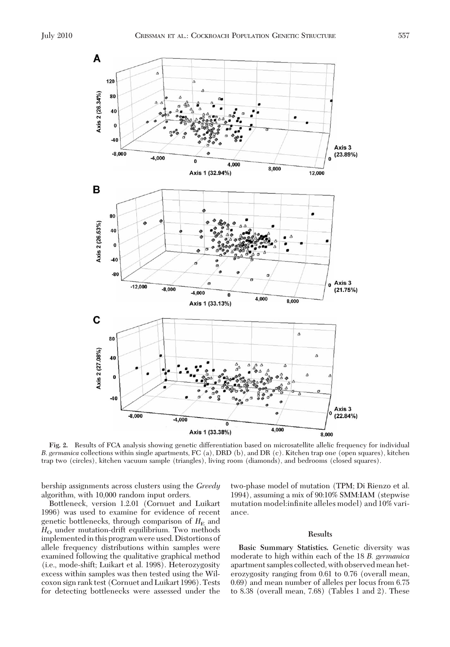

**Fig. 2.** Results of FCA analysis showing genetic differentiation based on microsatellite allelic frequency for individual *B*. *germanica* collections within single apartments, FC (a), DRD (b), and DR (c). Kitchen trap one (open squares), kitchen trap two (circles), kitchen vacuum sample (triangles), living room (diamonds), and bedrooms (closed squares).

bership assignments across clusters using the *Greedy* algorithm, with 10,000 random input orders.

Bottleneck, version 1.2.01 (Cornuet and Luikart 1996) was used to examine for evidence of recent genetic bottlenecks, through comparison of  $H<sub>E</sub>$  and H<sub>O</sub> under mutation-drift equilibrium. Two methods implementedin this program were used. Distortions of allele frequency distributions within samples were examined following the qualitative graphical method (i.e., mode-shift; Luikart et al. 1998). Heterozygosity excess within samples was then tested using the Wilcoxon sign rank test (Cornuet and Luikart 1996). Tests for detecting bottlenecks were assessed under the

two-phase model of mutation (TPM; Di Rienzo et al. 1994), assuming a mix of 90:10% SMM:IAM (stepwise mutation model:infinite alleles model) and 10% variance.

### **Results**

**Basic Summary Statistics.** Genetic diversity was moderate to high within each of the 18 *B. germanica* apartment samples collected, with observed mean heterozygosity ranging from 0.61 to 0.76 (overall mean, 0.69) and mean number of alleles per locus from 6.75 to 8.38 (overall mean, 7.68) (Tables 1 and 2). These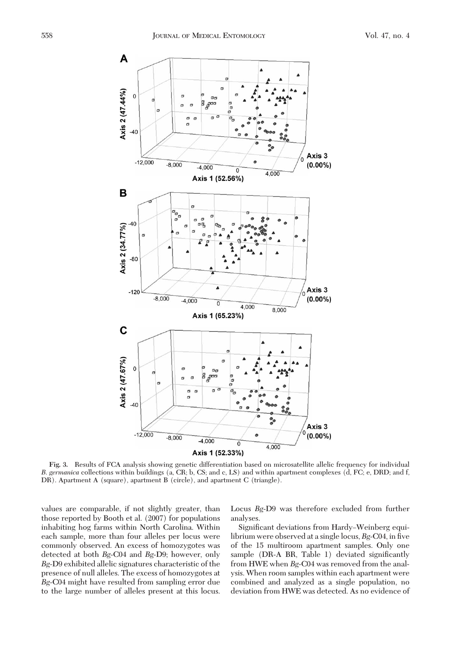

**Fig. 3.** Results of FCA analysis showing genetic differentiation based on microsatellite allelic frequency for individual *B*. *germanica* collections within buildings (a, CR; b, CS; and c, LS) and within apartment complexes (d, FC; e, DRD; and f, DR). Apartment A (square), apartment B (circle), and apartment C (triangle).

values are comparable, if not slightly greater, than those reported by Booth et al. (2007) for populations inhabiting hog farms within North Carolina. Within each sample, more than four alleles per locus were commonly observed. An excess of homozygotes was detected at both *Bg*-C04 and *Bg*-D9; however, only *Bg-*D9 exhibited allelic signatures characteristic of the presence of null alleles. The excess of homozygotes at *Bg-*C04 might have resulted from sampling error due to the large number of alleles present at this locus. Locus *Bg*-D9 was therefore excluded from further analyses.

Significant deviations from Hardy–Weinberg equilibrium were observed at a single locus, *Bg*-C04, in five of the 15 multiroom apartment samples. Only one sample ( $DR-A$   $BR$ ,  $Table 1$ ) deviated significantly from HWE when *Bg-*C04 was removed from the analysis. When room samples within each apartment were combined and analyzed as a single population, no deviation from HWE was detected. As no evidence of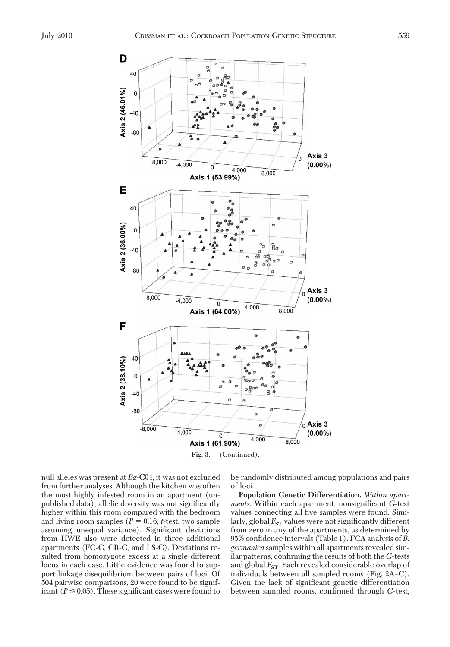



null alleles was present at *Bg*-C04, it was not excluded from further analyses. Although the kitchen was often the most highly infested room in an apartment (unpublished data), allelic diversity was not significantly higher within this room compared with the bedroom and living room samples  $(P = 0.16; t\text{-test},$  two sample assuming unequal variance). Significant deviations from HWE also were detected in three additional apartments (FC-C, CR-C, and LS-C). Deviations resulted from homozygote excess at a single different locus in each case. Little evidence was found to support linkage disequilibrium between pairs of loci. Of 504 pairwise comparisons, 20 were found to be significant ( $P \leq 0.05$ ). These significant cases were found to

be randomly distributed among populations and pairs of loci.

**Population Genetic Differentiation.** *Within apartments.* Within each apartment, nonsignificant *G*-test values connecting all five samples were found. Similarly, global  $F_{ST}$  values were not significantly different from zero in any of the apartments, as determined by 95% confidence intervals (Table 1). FCA analysis of *B*. *germanica* samples within all apartments revealed similar patterns, confirming the results of both the *G*-tests and global  $F_{ST}$ . Each revealed considerable overlap of individuals between all sampled rooms (Fig. 2A–C). Given the lack of significant genetic differentiation between sampled rooms, confirmed through *G*-test,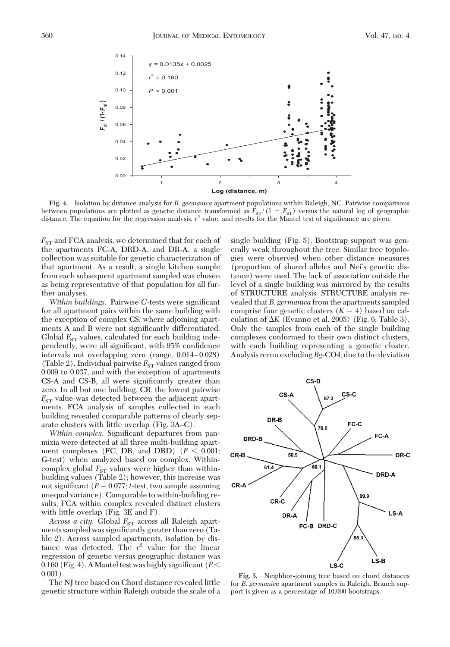

**Fig. 4.** Isolation by distance analysis for *B*. *germanica* apartment populations within Raleigh, NC. Pairwise comparisons between populations are plotted as genetic distance transformed as  $F_{ST}/(1 - F_{ST})$  versus the natural log of geographic<br>distance. The equation for the regression analysis,  $r^2$  value, and results for the Mantel test of sig

 $F_{ST}$  and FCA analysis, we determined that for each of the apartments FC-A, DRD-A, and DR-A, a single collection was suitable for genetic characterization of that apartment. As a result, a single kitchen sample from each subsequent apartment sampled was chosen as being representative of that population for all further analyses.

*Within buildings.* Pairwise *G*-tests were significant for all apartment pairs within the same building with the exception of complex CS, where adjoining apartments A and B were not significantly differentiated. Global  $F_{ST}$  values, calculated for each building independently, were all significant, with 95% confidence intervals not overlapping zero  $(\text{range}, 0.014 - 0.028)$ (Table 2). Individual pairwise  $F_{ST}$  values ranged from 0.009 to 0.037, and with the exception of apartments CS-A and CS-B, all were significantly greater than zero. In all but one building, CR, the lowest pairwise  $F_{ST}$  value was detected between the adjacent apartments. FCA analysis of samples collected in each building revealed comparable patterns of clearly separate clusters with little overlap (Fig.  $3A-C$ ).

*Within complex.* Significant departures from panmixia were detected at all three multi-building apartment complexes (FC, DR, and DRD)  $(P < 0.001;$ *G*-test) when analyzed based on complex. Withincomplex global  $F_{ST}$  values were higher than withinbuilding values (Table 2); however, this increase was not significant  $(P = 0.077; t\text{-test},$  two sample assuming unequal variance). Comparable to within-building results, FCA within complex revealed distinct clusters with little overlap (Fig. 3E and F).

*Across a city.* Global  $F_{ST}$  across all Raleigh apartments sampled was significantly greater than zero (Table 2). Across sampled apartments, isolation by distance was detected. The  $r^2$  value for the linear regression of genetic versus geographic distance was 0.160 (Fig. 4). A Mantel test was highly significant ( $P$  <  $0.001$ ).

The NJ tree based on Chord distance revealed little genetic structure within Raleigh outside the scale of a single building (Fig. 5). Bootstrap support was generally weak throughout the tree. Similar tree topologies were observed when other distance measures (proportion of shared alleles and Nei's genetic distance) were used. The lack of association outside the level of a single building was mirrored by the results of STRUCTURE analysis. STRUCTURE analysis revealed that *B. germanica* from the apartments sampled comprise four genetic clusters  $(K = 4)$  based on calculation of  $\Delta K$  (Evanno et al. 2005) (Fig. 6; Table 3). Only the samples from each of the single building complexes conformed to their own distinct clusters, with each building representing a genetic cluster. Analysis rerun excluding *Bg*-CO4, due to the deviation



**Fig. 5.** Neighbor-joining tree based on chord distances for *B*. *germanica* apartment samples in Raleigh. Branch support is given as a percentage of 10,000 bootstraps.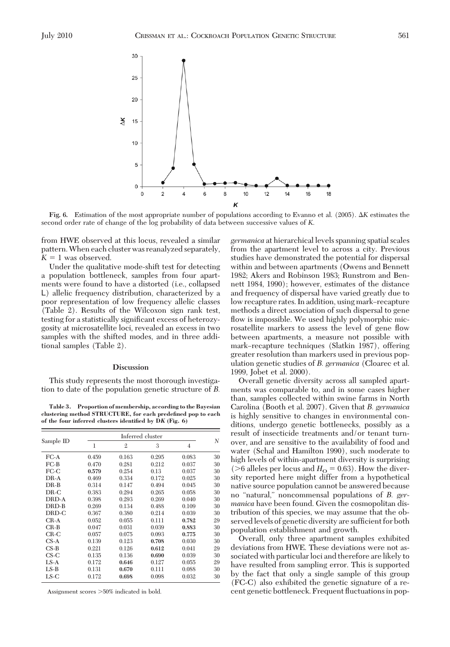

**Fig. 6.** Estimation of the most appropriate number of populations according to Evanno et al. (2005). *K* estimates the second order rate of change of the log probability of data between successive values of *K*.

from HWE observed at this locus, revealed a similar pattern.When each cluster was reanalyzed separately,  $K = 1$  was observed.

Under the qualitative mode-shift test for detecting a population bottleneck, samples from four apartments were found to have a distorted (i.e., collapsed L) allelic frequency distribution, characterized by a poor representation of low frequency allelic classes (Table 2). Results of the Wilcoxon sign rank test, testing for a statistically significant excess of heterozygosity at microsatellite loci, revealed an excess in two samples with the shifted modes, and in three additional samples (Table 2).

#### **Discussion**

This study represents the most thorough investigation to date of the population genetic structure of *B.*

**Table 3. Proportion of membership, according to the Bayesian clustering method STRUCTURE, for each predefined pop to each of the four inferred clusters identified by D***K* **(Fig. 6)**

|                | Inferred cluster |              |       |                |    |  |  |
|----------------|------------------|--------------|-------|----------------|----|--|--|
| Sample ID      | 1                | $\mathbf{2}$ | 3     | $\overline{4}$ | N  |  |  |
| $_{\rm{FC-A}}$ | 0.459            | 0.163        | 0.295 | 0.083          | 30 |  |  |
| FC-B           | 0.470            | 0.281        | 0.212 | 0.037          | 30 |  |  |
| FC-C           | 0.579            | 0.254        | 0.13  | 0.037          | 30 |  |  |
| DR-A           | 0.469            | 0.334        | 0.172 | 0.025          | 30 |  |  |
| DR-B           | 0.314            | 0.147        | 0.494 | 0.045          | 30 |  |  |
| DR-C           | 0.383            | 0.294        | 0.265 | 0.058          | 30 |  |  |
| DRD-A          | 0.398            | 0.293        | 0.269 | 0.040          | 30 |  |  |
| DRD-B          | 0.269            | 0.134        | 0.488 | 0.109          | 30 |  |  |
| DRD-C          | 0.367            | 0.380        | 0.214 | 0.039          | 30 |  |  |
| CR-A           | 0.052            | 0.055        | 0.111 | 0.782          | 29 |  |  |
| $CR-B$         | 0.047            | 0.031        | 0.039 | 0.883          | 30 |  |  |
| $_{\rm CR-C}$  | 0.057            | 0.075        | 0.093 | 0.775          | 30 |  |  |
| CS-A           | 0.139            | 0.123        | 0.708 | 0.030          | 30 |  |  |
| $CS-B$         | 0.221            | 0.126        | 0.612 | 0.041          | 29 |  |  |
| $CS-C$         | 0.135            | 0.136        | 0.690 | 0.039          | 30 |  |  |
| $LS-A$         | 0.172            | 0.646        | 0.127 | 0.055          | 29 |  |  |
| $LS-B$         | 0.131            | 0.670        | 0.111 | 0.088          | 30 |  |  |
| LS-C           | 0.172            | 0.698        | 0.098 | 0.032          | 30 |  |  |

Assignment scores >50% indicated in bold.

*germanica* at hierarchical levels spanning spatial scales from the apartment level to across a city. Previous studies have demonstrated the potential for dispersal within and between apartments (Owens and Bennett 1982; Akers and Robinson 1983; Runstrom and Bennett 1984, 1990); however, estimates of the distance and frequency of dispersal have varied greatly due to low recapture rates. In addition, using mark–recapture methods a direct association of such dispersal to gene flow is impossible. We used highly polymorphic microsatellite markers to assess the level of gene flow between apartments, a measure not possible with mark-recapture techniques (Slatkin 1987), offering greater resolution than markers used in previous population genetic studies of *B. germanica* (Cloarec et al. 1999, Jobet et al. 2000).

Overall genetic diversity across all sampled apartments was comparable to, and in some cases higher than, samples collected within swine farms in North Carolina (Booth et al. 2007). Given that *B. germanica* is highly sensitive to changes in environmental conditions, undergo genetic bottlenecks, possibly as a result of insecticide treatments and/or tenant turnover, and are sensitive to the availability of food and water (Schal and Hamilton 1990), such moderate to high levels of within-apartment diversity is surprising ( $>6$  alleles per locus and  $H<sub>O</sub> = 0.63$ ). How the diversity reported here might differ from a hypothetical native source population cannot be answered because no "natural," noncommensal populations of *B. germanica* have been found. Given the cosmopolitan distribution of this species, we may assume that the observed levels of genetic diversity are sufficient for both population establishment and growth.

Overall, only three apartment samples exhibited deviations from HWE. These deviations were not associated with particular loci and therefore are likely to have resulted from sampling error. This is supported by the fact that only a single sample of this group (FC-C) also exhibited the genetic signature of a recent genetic bottleneck. Frequent ßuctuations in pop-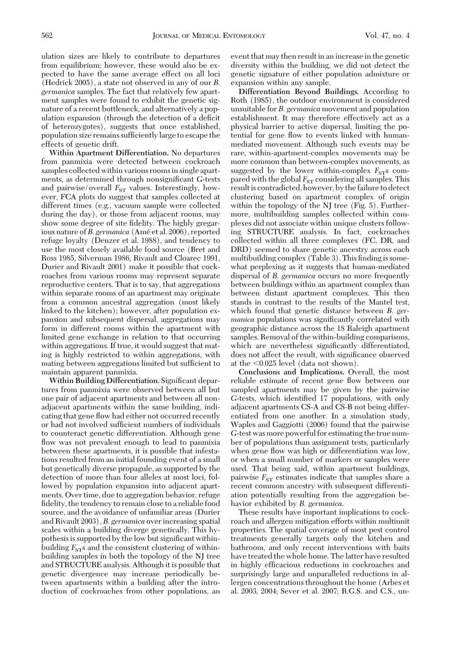ulation sizes are likely to contribute to departures from equilibrium; however, these would also be expected to have the same average effect on all loci (Hedrick 2005), a state not observed in any of our *B. germanica* samples. The fact that relatively few apartment samples were found to exhibit the genetic signature of a recent bottleneck, and alternatively a population expansion (through the detection of a deficit of heterozygotes), suggests that once established, population size remains sufficiently large to escape the effects of genetic drift.

**Within Apartment Differentiation.** No departures from panmixia were detected between cockroach samples collected within various rooms in single apartments, as determined through nonsignificant *G*-tests and pairwise/overall  $F_{ST}$  values. Interestingly, however, FCA plots do suggest that samples collected at different times (e.g., vacuum sample were collected during the day), or those from adjacent rooms, may show some degree of site fidelity. The highly gregarious nature of *B. germanica* (Amé et al. 2006), reported refuge loyalty (Denzer et al. 1988), and tendency to use the most closely available food source (Bret and Ross 1985, Silverman 1986, Rivault and Cloarec 1991, Durier and Rivault 2001) make it possible that cockroaches from various rooms may represent separate reproductive centers. That is to say, that aggregations within separate rooms of an apartment may originate from a common ancestral aggregation (most likely linked to the kitchen); however, after population expansion and subsequent dispersal, aggregations may form in different rooms within the apartment with limited gene exchange in relation to that occurring within aggregations. If true, it would suggest that mating is highly restricted to within aggregations, with mating between aggregations limited but sufficient to maintain apparent panmixia.

Within Building Differentiation. Significant departures from panmixia were observed between all but one pair of adjacent apartments and between all nonadjacent apartments within the same building, indicating that gene ßow had either not occurred recently or had not involved sufficient numbers of individuals to counteract genetic differentiation. Although gene flow was not prevalent enough to lead to panmixia between these apartments, it is possible that infestations resulted from an initial founding event of a small but genetically diverse propagule, as supported by the detection of more than four alleles at most loci, followed by population expansion into adjacent apartments. Over time, due to aggregation behavior, refuge fidelity, the tendency to remain close to a reliable food source, and the avoidance of unfamiliar areas (Durier and Rivault 2003), *B. germanica* over increasing spatial scales within a building diverge genetically. This hypothesis is supported by the low but significant withinbuilding  $F_{ST}$ s and the consistent clustering of withinbuilding samples in both the topology of the NJ tree and STRUCTURE analysis. Although it is possible that genetic divergence may increase periodically between apartments within a building after the introduction of cockroaches from other populations, an

event that may then result in an increase in the genetic diversity within the building, we did not detect the genetic signature of either population admixture or expansion within any sample.

**Differentiation Beyond Buildings.** According to Roth (1985), the outdoor environment is considered unsuitable for *B. germanica* movement and population establishment. It may therefore effectively act as a physical barrier to active dispersal, limiting the potential for gene ßow to events linked with humanmediated movement. Although such events may be rare, within-apartment-complex movements may be more common than between-complex movements, as suggested by the lower within-complex  $F_{ST}$ s compared with the global  $F_{ST}$  considering all samples. This result is contradicted, however, by the failure to detect clustering based on apartment complex of origin within the topology of the NJ tree (Fig. 5). Furthermore, multibuilding samples collected within complexes did not associate within unique clusters following STRUCTURE analysis. In fact, cockroaches collected within all three complexes (FC, DR, and DRD) seemed to share genetic ancestry across each multibuilding complex  $(Table 3)$ . This finding is somewhat perplexing as it suggests that human-mediated dispersal of *B. germanica* occurs no more frequently between buildings within an apartment complex than between distant apartment complexes. This then stands in contrast to the results of the Mantel test, which found that genetic distance between *B. germanica* populations was significantly correlated with geographic distance across the 18 Raleigh apartment samples. Removal of the within-building comparisons, which are nevertheless significantly differentiated, does not affect the result, with significance observed at the  $0.025$  level (data not shown).

**Conclusions and Implications.** Overall, the most reliable estimate of recent gene ßow between our sampled apartments may be given by the pairwise *G*-tests, which identified 17 populations, with only adjacent apartments CS-A and CS-B not being differentiated from one another. In a simulation study, Waples and Gaggiotti (2006) found that the pairwise *G*-test was more powerful for estimating the true number of populations than assignment tests, particularly when gene flow was high or differentiation was low, or when a small number of markers or samples were used. That being said, within apartment buildings, pairwise  $F_{ST}$  estimates indicate that samples share a recent common ancestry with subsequent differentiation potentially resulting from the aggregation behavior exhibited by *B. germanica.*

These results have important implications to cockroach and allergen mitigation efforts within multiunit properties. The spatial coverage of most pest control treatments generally targets only the kitchen and bathroom, and only recent interventions with baits have treated the whole home. The latter have resulted in highly efficacious reductions in cockroaches and surprisingly large and unparalleled reductions in allergen concentrations throughout the home (Arbes et al. 2003, 2004; Sever et al. 2007; R.G.S. and C.S., un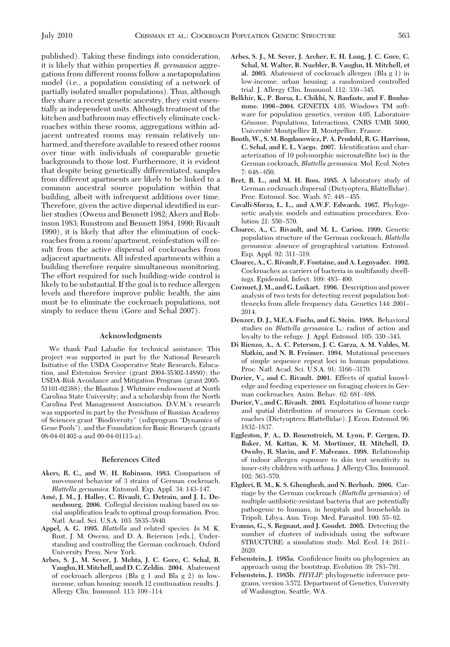published). Taking these findings into consideration, it is likely that within properties *B. germanica* aggregations from different rooms follow a metapopulation model (i.e., a population consisting of a network of partially isolated smaller populations). Thus, although they share a recent genetic ancestry, they exist essentially as independent units. Although treatment of the kitchen and bathroom may effectively eliminate cockroaches within these rooms, aggregations within adjacent untreated rooms may remain relatively unharmed, and therefore available to reseed other rooms over time with individuals of comparable genetic backgrounds to those lost. Furthermore, it is evident that despite being genetically differentiated, samples from different apartments are likely to be linked to a common ancestral source population within that building, albeit with infrequent additions over time. Therefore, given the active dispersal identified in earlier studies (Owens and Bennett 1982; Akers and Robinson 1983; Runstrom and Bennett 1984, 1990; Rivault 1990), it is likely that after the elimination of cockroaches from a room/apartment, reinfestation will result from the active dispersal of cockroaches from adjacent apartments. All infested apartments within a building therefore require simultaneous monitoring. The effort required for such building-wide control is likely to be substantial. If the goal is to reduce allergen levels and therefore improve public health, the aim must be to eliminate the cockroach populations, not simply to reduce them (Gore and Schal 2007).

## **Acknowledgments**

We thank Paul Labadie for technical assistance. This project was supported in part by the National Research Initiative of the USDA Cooperative State Research, Education, and Extension Service (grant 2004-35302-14880); the USDA-Risk Avoidance and Mitigation Program (grant 2005- 51101-02388); the Blanton J. Whitmire endowment at North Carolina State University; and a scholarship from the North Carolina Pest Management Association. D.V.M.'s research was supported in part by the Presidium of Russian Academy of Sciences grant "Biodiversity" (subprogram "Dynamics of Gene Pools"), and the Foundation for Basic Research (grants 08-04-01402-a and 09-04-01113-a).

## **References Cited**

- **Akers, R. C., and W. H. Robinson. 1983.** Comparison of movement behavior of 3 strains of German cockroach, Blattella germanica. Entomol. Exp. Appl. 34: 143-147.
- **Ame´, J. M., J. Halloy, C. Rivault, C. Detrain, and J. L. Deneubourg. 2006.** Collegial decision making based on social amplification leads to optimal group formation. Proc. Natl. Acad. Sci. U.S.A. 103: 5835-5840.
- **Appel, A. G. 1995.** *Blattella* and related species. *In* M. K. Rust, J. M. Owens, and D. A. Reierson [eds.], Understanding and controlling the German cockroach. Oxford University Press, New York.
- **Arbes, S. J., M. Sever, J. Mehta, J. C. Gore, C. Schal, B. Vaughn, H.Mitchell, and D. C. Zeldin. 2004.** Abatement of cockroach allergens (Bla g 1 and Bla g 2) in lowincome, urban housing: month 12 continuation results. J. Allergy Clin. Immunol. 113: 109-114.
- **Arbes, S. J., M. Sever, J. Archer, E. H. Long, J. C. Gore, C. Schal, M. Walter, B. Nuebler, B. Vaughn, H. Mitchell, et al. 2003.** Abatement of cockroach allergen (Bla g 1) in low-income, urban housing: a randomized controlled trial. J. Allergy Clin. Immunol. 112: 339-345.
- **Belkhir, K., P. Borsa, L. Chikhi, N. Raufaste, and F. Bonhomme. 1996 –2004.** GENETIX 4.05, Windows TM software for population genetics, version 4.05, Laboratoire Génome, Populations, Interactions, CNRS UMR 5000, Université Montpellier II, Montpellier, France.
- **Booth, W., S. M. Bogdanowicz, P. A. Prodohl, R. G. Harrison, C. Schal, and E. L. Vargo. 2007.** Identification and characterization of 10 polymorphic microsatellite loci in the German cockroach, *Blattella germanica.* Mol. Ecol. Notes  $7:648-650.$
- **Bret, B. L., and M. H. Ross. 1985.** A laboratory study of German cockroach dispersal (Dictyoptera, Blattellidae). Proc. Entomol. Soc. Wash. 87: 448-455.
- **Cavalli-Sforza, L. L., and A.W.F. Edwards. 1967.** Phylogenetic analysis: models and estimation procedures. Evolution 21: 550-570.
- **Cloarec, A., C. Rivault, and M. L. Cariou. 1999.** Genetic population structure of the German cockroach, *Blattella germanica:* absence of geographical variation. Entomol. Exp. Appl. 92: 311-319.
- **Cloarec, A., C. Rivault, F. Fontaine, and A. Leguyader. 1992.** Cockroaches as carriers of bacteria in multifamily dwellings. Epidemiol. Infect. 109: 483-490.
- **Cornuet, J.M., and G. Luikart. 1996.** Description and power analysis of two tests for detecting recent population bottlenecks from allele frequency data. Genetics 144: 2001– 2014.
- **Denzer, D. J., M.E.A. Fuchs, and G. Stein. 1988.** Behavioral studies on *Blattella germanica* L.: radius of action and loyalty to the refuge. J. Appl. Entomol. 105: 330-343.
- **Di Rienzo, A., A. C. Peterson, J. C. Garza, A. M. Valdes, M. Slatkin, and N. B. Freimer. 1994.** Mutational processes of simple sequence repeat loci in human populations. Proc. Natl. Acad. Sci. U.S.A. 91: 3166-3170.
- **Durier, V., and C. Rivault. 2001.** Effects of spatial knowledge and feeding experience on foraging choices in German cockroaches. Anim. Behav. 62: 681-688.
- **Durier, V., and C. Rivault. 2003.** Exploitation of home range and spatial distribution of resources in German cockroaches (Dictyoptera: Blattellidae). J. Econ. Entomol. 96: 1832-1837.
- **Eggleston, P. A., D. Rosenstreich, M. Lynn, P. Gergen, D. Baker, M. Kattan, K. M. Mortimer, H. Mitchell, D. Ownby, R. Slavin, and F. Malveaux. 1998.** Relationship of indoor allergen exposure to skin test sensitivity in inner-city children with asthma. J. Allergy Clin. Immunol. 102: 563-570.
- **Elgderi, R. M., K. S. Ghenghesh, and N. Berbash. 2006.** Carriage by the German cockroach (*Blattella germanica*) of multiple-antibiotic-resistant bacteria that are potentially pathogenic to humans, in hospitals and households in Tripoli, Libya. Ann. Trop. Med. Parasitol. 100: 55–62.
- **Evanno, G., S. Regnaut, and J. Goudet. 2005.** Detecting the number of clusters of individuals using the software STRUCTURE: a simulation study. Mol. Ecol. 14: 2611-2620.
- Felsenstein, J. 1985a. Confidence limits on phylogenies: an approach using the bootstrap. Evolution 39: 783–791.
- **Felsenstein, J. 1985b.** *PHYLIP:* phylogenetic inference programs, version 3.572. Department of Genetics, University of Washington, Seattle, WA.